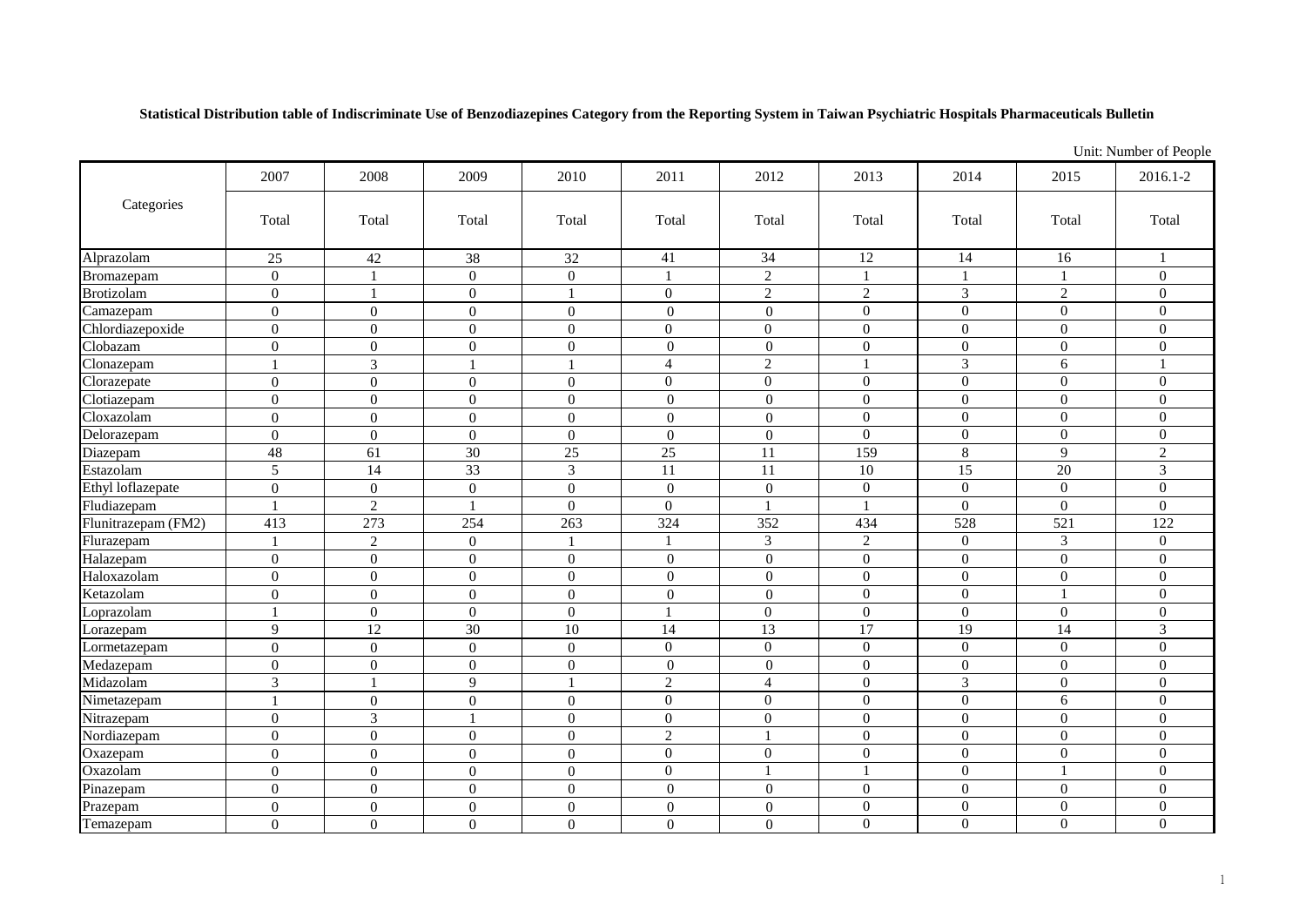**Statistical Distribution table of Indiscriminate Use of Benzodiazepines Category from the Reporting System in Taiwan Psychiatric Hospitals Pharmaceuticals Bulletin**

|                     |                  | Unit: Number of People |                  |                  |                  |                  |                |                  |                |                  |
|---------------------|------------------|------------------------|------------------|------------------|------------------|------------------|----------------|------------------|----------------|------------------|
| Categories          | 2007             | 2008                   | 2009             | 2010             | 2011             | 2012             | 2013           | 2014             | 2015           | 2016.1-2         |
|                     | Total            | Total                  | Total            | Total            | Total            | Total            | Total          | Total            | Total          | Total            |
| Alprazolam          | 25               | $42\,$                 | 38               | $32\,$           | 41               | 34               | 12             | 14               | 16             | $\mathbf{1}$     |
| Bromazepam          | $\overline{0}$   | $\mathbf{1}$           | $\overline{0}$   | $\boldsymbol{0}$ |                  | $\overline{2}$   |                | 1                |                | $\overline{0}$   |
| <b>Brotizolam</b>   | $\overline{0}$   | $\mathbf{1}$           | $\boldsymbol{0}$ | $\mathbf{1}$     | $\overline{0}$   | $\sqrt{2}$       | $\sqrt{2}$     | $\mathfrak{Z}$   | 2              | $\overline{0}$   |
| Camazepam           | $\overline{0}$   | $\boldsymbol{0}$       | $\boldsymbol{0}$ | $\boldsymbol{0}$ | $\overline{0}$   | $\mathbf{0}$     | $\overline{0}$ | $\overline{0}$   | $\overline{0}$ | $\overline{0}$   |
| Chlordiazepoxide    | $\boldsymbol{0}$ | $\boldsymbol{0}$       | $\boldsymbol{0}$ | $\boldsymbol{0}$ | $\overline{0}$   | $\boldsymbol{0}$ | $\overline{0}$ | $\boldsymbol{0}$ | $\overline{0}$ | $\overline{0}$   |
| Clobazam            | $\overline{0}$   | $\boldsymbol{0}$       | $\overline{0}$   | $\boldsymbol{0}$ | $\overline{0}$   | $\boldsymbol{0}$ | $\overline{0}$ | $\mathbf{0}$     | $\Omega$       | $\Omega$         |
| Clonazepam          |                  | 3                      |                  | $\mathbf{1}$     | $\overline{4}$   | $\overline{2}$   |                | $\overline{3}$   | 6              | $\overline{1}$   |
| Clorazepate         | $\overline{0}$   | $\overline{0}$         | $\mathbf{0}$     | $\boldsymbol{0}$ | $\overline{0}$   | $\mathbf{0}$     | $\overline{0}$ | $\overline{0}$   | $\overline{0}$ | $\overline{0}$   |
| Clotiazepam         | $\overline{0}$   | $\overline{0}$         | $\overline{0}$   | $\boldsymbol{0}$ | $\overline{0}$   | $\overline{0}$   | $\Omega$       | $\overline{0}$   | $\overline{0}$ | $\overline{0}$   |
| Cloxazolam          | $\overline{0}$   | $\overline{0}$         | $\boldsymbol{0}$ | $\boldsymbol{0}$ | $\overline{0}$   | $\overline{0}$   | $\overline{0}$ | $\boldsymbol{0}$ | $\overline{0}$ | $\overline{0}$   |
| Delorazepam         | $\overline{0}$   | $\overline{0}$         | $\overline{0}$   | $\overline{0}$   | $\overline{0}$   | $\overline{0}$   | $\Omega$       | $\overline{0}$   | $\Omega$       | $\theta$         |
| Diazepam            | 48               | 61                     | 30               | 25               | $\overline{25}$  | 11               | 159            | 8                | $\mathbf Q$    | $\overline{2}$   |
| Estazolam           | 5                | 14                     | 33               | $\mathfrak{Z}$   | 11               | 11               | 10             | 15               | 20             | 3                |
| Ethyl loflazepate   | $\boldsymbol{0}$ | $\boldsymbol{0}$       | $\boldsymbol{0}$ | $\boldsymbol{0}$ | $\boldsymbol{0}$ | $\boldsymbol{0}$ | $\overline{0}$ | $\boldsymbol{0}$ | $\overline{0}$ | $\mathbf{0}$     |
| Fludiazepam         | 1                | $\overline{2}$         | 1                | $\mathbf{0}$     | $\overline{0}$   |                  |                | $\boldsymbol{0}$ | $\overline{0}$ | $\overline{0}$   |
| Flunitrazepam (FM2) | 413              | 273                    | 254              | 263              | 324              | 352              | 434            | 528              | 521            | 122              |
| Flurazepam          |                  | 2                      | $\overline{0}$   | $\overline{1}$   |                  | 3                | 2              | $\overline{0}$   | 3              | $\overline{0}$   |
| Halazepam           | $\overline{0}$   | $\overline{0}$         | $\overline{0}$   | $\mathbf{0}$     | $\overline{0}$   | $\overline{0}$   | $\Omega$       | $\mathbf{0}$     | $\Omega$       | $\Omega$         |
| Haloxazolam         | $\overline{0}$   | $\overline{0}$         | $\overline{0}$   | $\overline{0}$   | $\overline{0}$   | $\overline{0}$   | $\overline{0}$ | $\overline{0}$   | $\overline{0}$ | $\overline{0}$   |
| Ketazolam           | $\boldsymbol{0}$ | $\boldsymbol{0}$       | $\overline{0}$   | $\boldsymbol{0}$ | $\overline{0}$   | $\boldsymbol{0}$ | $\mathbf{0}$   | $\boldsymbol{0}$ |                | $\boldsymbol{0}$ |
| Loprazolam          | 1                | $\boldsymbol{0}$       | $\overline{0}$   | $\mathbf{0}$     |                  | $\overline{0}$   | $\Omega$       | $\overline{0}$   | $\overline{0}$ | $\overline{0}$   |
| Lorazepam           | 9                | 12                     | 30               | $10\,$           | 14               | 13               | 17             | 19               | 14             | 3                |
| Lormetazepam        | $\overline{0}$   | $\overline{0}$         | $\boldsymbol{0}$ | $\boldsymbol{0}$ | $\overline{0}$   | $\mathbf{0}$     | $\overline{0}$ | $\boldsymbol{0}$ | $\Omega$       | $\Omega$         |
| Medazepam           | $\boldsymbol{0}$ | $\boldsymbol{0}$       | $\overline{0}$   | $\boldsymbol{0}$ | $\mathbf{0}$     | $\mathbf{0}$     | $\mathbf{0}$   | $\boldsymbol{0}$ | $\overline{0}$ | $\overline{0}$   |
| Midazolam           | 3                |                        | 9                | -1               | $\overline{2}$   | $\overline{4}$   | $\overline{0}$ | 3                | $\overline{0}$ | $\overline{0}$   |
| Nimetazepam         |                  | $\overline{0}$         | $\overline{0}$   | $\boldsymbol{0}$ | $\overline{0}$   | $\overline{0}$   | $\overline{0}$ | $\overline{0}$   | 6              | $\overline{0}$   |
| Nitrazepam          | $\overline{0}$   | $\mathfrak{Z}$         |                  | $\boldsymbol{0}$ | $\overline{0}$   | $\mathbf{0}$     | $\overline{0}$ | $\boldsymbol{0}$ | $\overline{0}$ | $\overline{0}$   |
| Nordiazepam         | $\overline{0}$   | $\overline{0}$         | $\overline{0}$   | $\overline{0}$   | $\overline{2}$   |                  | $\overline{0}$ | $\boldsymbol{0}$ | $\Omega$       | $\overline{0}$   |
| Oxazepam            | $\overline{0}$   | $\mathbf{0}$           | $\overline{0}$   | $\mathbf{0}$     | $\overline{0}$   | $\mathbf{0}$     | $\overline{0}$ | $\boldsymbol{0}$ | $\overline{0}$ | $\mathbf{0}$     |
| Oxazolam            | $\overline{0}$   | $\boldsymbol{0}$       | $\overline{0}$   | $\mathbf{0}$     | $\overline{0}$   | $\overline{1}$   |                | $\mathbf{0}$     |                | $\mathbf{0}$     |
| Pinazepam           | $\overline{0}$   | $\overline{0}$         | $\boldsymbol{0}$ | $\boldsymbol{0}$ | $\overline{0}$   | $\boldsymbol{0}$ | $\mathbf{0}$   | $\boldsymbol{0}$ | $\overline{0}$ | $\boldsymbol{0}$ |
| Prazepam            | $\overline{0}$   | $\boldsymbol{0}$       | $\boldsymbol{0}$ | $\boldsymbol{0}$ | $\overline{0}$   | $\boldsymbol{0}$ | $\overline{0}$ | $\boldsymbol{0}$ | $\Omega$       | $\overline{0}$   |
| Temazepam           | $\overline{0}$   | $\boldsymbol{0}$       | 0                | $\boldsymbol{0}$ | $\boldsymbol{0}$ | $\boldsymbol{0}$ | $\overline{0}$ | $\boldsymbol{0}$ | $\theta$       | $\overline{0}$   |

1